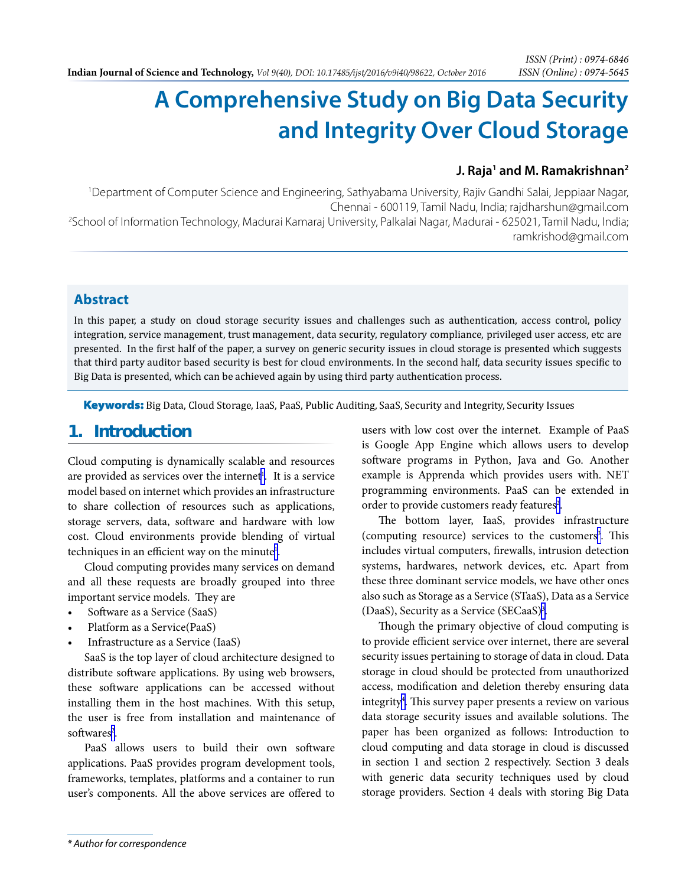# **A Comprehensive Study on Big Data Security and Integrity Over Cloud Storage**

#### **J. Raja<sup>1</sup> and M. Ramakrishnan<sup>2</sup>**

1 Department of Computer Science and Engineering, Sathyabama University, Rajiv Gandhi Salai, Jeppiaar Nagar, Chennai - 600119, Tamil Nadu, India; rajdharshun@gmail.com<br>25chool of Information Technology, Madurai Kamaraj University, Palkalai Nagar, Madurai - 625021, Tamil Nadu, India; ramkrishod@gmail.com

### **Abstract**

In this paper, a study on cloud storage security issues and challenges such as authentication, access control, policy integration, service management, trust management, data security, regulatory compliance, privileged user access, etc are presented. In the first half of the paper, a survey on generic security issues in cloud storage is presented which suggests that third party auditor based security is best for cloud environments. In the second half, data security issues specific to Big Data is presented, which can be achieved again by using third party authentication process.

Keywords: Big Data, Cloud Storage, IaaS, PaaS, Public Auditing, SaaS, Security and Integrity, Security Issues

## **1. Introduction**

Cloud computing is dynamically scalable and resources are provided as services over the internet<sup>[1](#page-4-0)</sup>. It is a service model based on internet which provides an infrastructure to share collection of resources such as applications, storage servers, data, software and hardware with low cost. Cloud environments provide blending of virtual techniques in an efficient way on the minute<sup>1</sup>.

Cloud computing provides many services on demand and all these requests are broadly grouped into three important service models. They are

- Software as a Service (SaaS)
- Platform as a Service(PaaS)
- Infrastructure as a Service (IaaS)

SaaS is the top layer of cloud architecture designed to distribute software applications. By using web browsers, these software applications can be accessed without installing them in the host machines. With this setup, the user is free from installation and maintenance of softwares<sup>[2](#page-5-0)</sup>.

PaaS allows users to build their own software applications. PaaS provides program development tools, frameworks, templates, platforms and a container to run user's components. All the above services are offered to users with low cost over the internet. Example of PaaS is Google App Engine which allows users to develop software programs in Python, Java and Go. Another example is Apprenda which provides users with. NET programming environments. PaaS can be extended in order to provide customers ready features<sup>[2](#page-5-0)</sup>.

The bottom layer, IaaS, provides infrastructure (computing resource) services to the customers<sup>3</sup>. This includes virtual computers, firewalls, intrusion detection systems, hardwares, network devices, etc. Apart from these three dominant service models, we have other ones also such as Storage as a Service (STaaS), Data as a Service (DaaS), Security as a Service (SECaaS)<sup>3</sup>.

Though the primary objective of cloud computing is to provide efficient service over internet, there are several security issues pertaining to storage of data in cloud. Data storage in cloud should be protected from unauthorized access, modification and deletion thereby ensuring data integrity<sup>4</sup>. This survey paper presents a review on various data storage security issues and available solutions. The paper has been organized as follows: Introduction to cloud computing and data storage in cloud is discussed in section 1 and section 2 respectively. Section 3 deals with generic data security techniques used by cloud storage providers. Section 4 deals with storing Big Data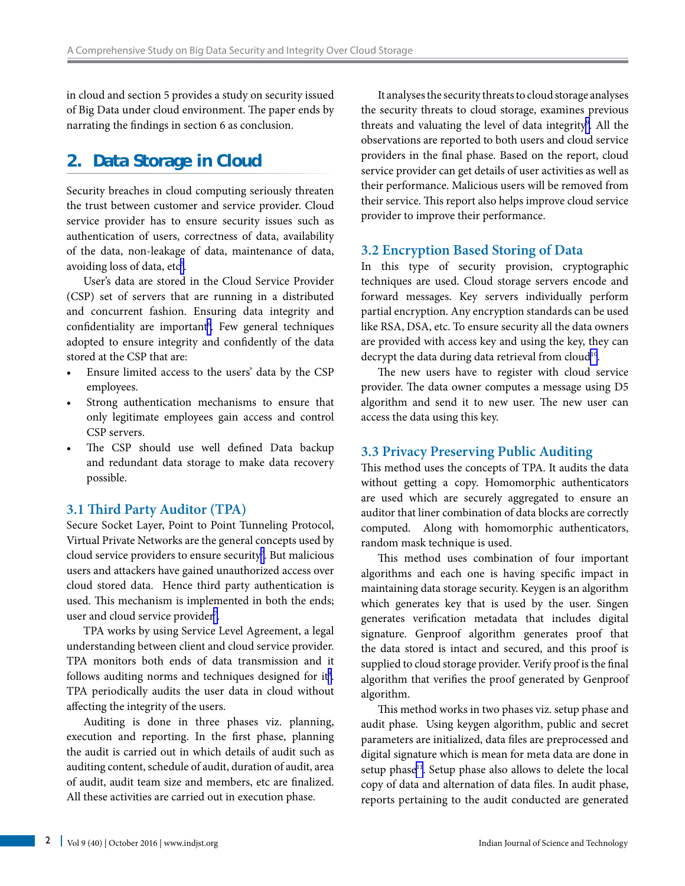in cloud and section 5 provides a study on security issued of Big Data under cloud environment. The paper ends by narrating the findings in section 6 as conclusion.

# **2. Data Storage in Cloud**

Security breaches in cloud computing seriously threaten the trust between customer and service provider. Cloud service provider has to ensure security issues such as authentication of users, correctness of data, availability of the data, non-leakage of data, maintenance of data, avoiding loss of data, etc<sup>5</sup>.

User's data are stored in the Cloud Service Provider (CSP) set of servers that are running in a distributed and concurrent fashion. Ensuring data integrity and confidentiality are important<sup>6</sup>. Few general techniques adopted to ensure integrity and confidently of the data stored at the CSP that are:

- • Ensure limited access to the users' data by the CSP employees.
- • Strong authentication mechanisms to ensure that only legitimate employees gain access and control CSP servers.
- The CSP should use well defined Data backup and redundant data storage to make data recovery possible.

#### **3.1 Third Party Auditor (TPA)**

Secure Socket Layer, Point to Point Tunneling Protocol, Virtual Private Networks are the general concepts used by cloud service providers to ensure security<sup>7</sup>. But malicious users and attackers have gained unauthorized access over cloud stored data. Hence third party authentication is used. This mechanism is implemented in both the ends; user and cloud service provider<sup>7</sup>.

TPA works by using Service Level Agreement, a legal understanding between client and cloud service provider. TPA monitors both ends of data transmission and it follows auditing norms and techniques designed for it<sup>8</sup>. TPA periodically audits the user data in cloud without affecting the integrity of the users.

Auditing is done in three phases viz. planning, execution and reporting. In the first phase, planning the audit is carried out in which details of audit such as auditing content, schedule of audit, duration of audit, area of audit, audit team size and members, etc are finalized. All these activities are carried out in execution phase.

It analyses the security threats to cloud storage analyses the security threats to cloud storage, examines previous threats and valuating the level of data integrity<sup>[9](#page-5-0)</sup>. All the observations are reported to both users and cloud service providers in the final phase. Based on the report, cloud service provider can get details of user activities as well as their performance. Malicious users will be removed from their service. This report also helps improve cloud service provider to improve their performance.

#### **3.2 Encryption Based Storing of Data**

In this type of security provision, cryptographic techniques are used. Cloud storage servers encode and forward messages. Key servers individually perform partial encryption. Any encryption standards can be used like RSA, DSA, etc. To ensure security all the data owners are provided with access key and using the key, they can decrypt the data during data retrieval from cloud<sup>10</sup>.

The new users have to register with cloud service provider. The data owner computes a message using D5 algorithm and send it to new user. The new user can access the data using this key.

#### **3.3 Privacy Preserving Public Auditing**

This method uses the concepts of TPA. It audits the data without getting a copy. Homomorphic authenticators are used which are securely aggregated to ensure an auditor that liner combination of data blocks are correctly computed. Along with homomorphic authenticators, random mask technique is used.

This method uses combination of four important algorithms and each one is having specific impact in maintaining data storage security. Keygen is an algorithm which generates key that is used by the user. Singen generates verification metadata that includes digital signature. Genproof algorithm generates proof that the data stored is intact and secured, and this proof is supplied to cloud storage provider. Verify proof is the final algorithm that verifies the proof generated by Genproof algorithm.

This method works in two phases viz. setup phase and audit phase. Using keygen algorithm, public and secret parameters are initialized, data files are preprocessed and digital signature which is mean for meta data are done in setup phase<sup>11</sup>. Setup phase also allows to delete the local copy of data and alternation of data files. In audit phase, reports pertaining to the audit conducted are generated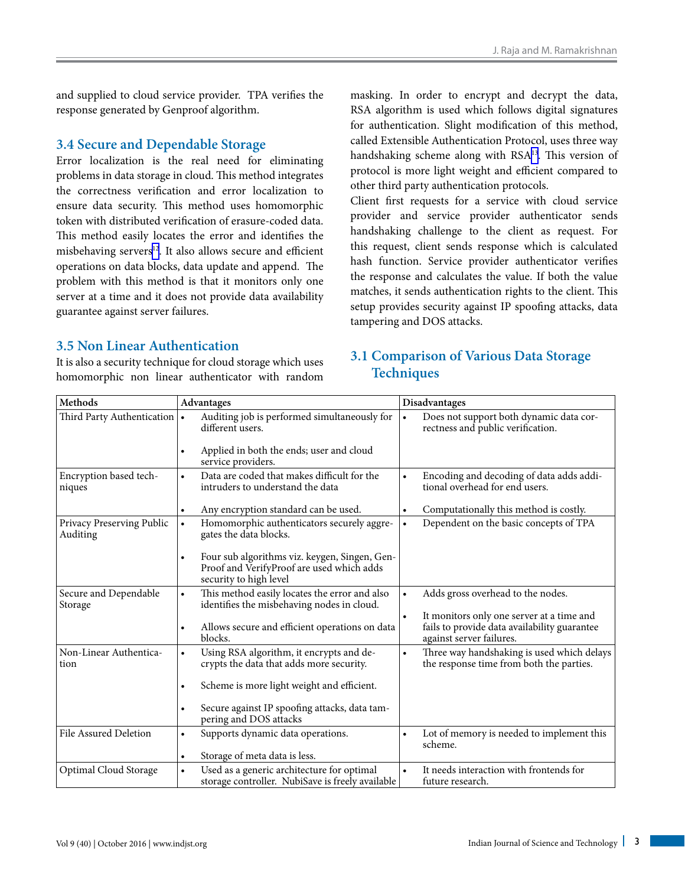and supplied to cloud service provider. TPA verifies the response generated by Genproof algorithm.

#### **3.4 Secure and Dependable Storage**

Error localization is the real need for eliminating problems in data storage in cloud. This method integrates the correctness verification and error localization to ensure data security. This method uses homomorphic token with distributed verification of erasure-coded data. This method easily locates the error and identifies the misbehaving servers<sup>12</sup>. It also allows secure and efficient operations on data blocks, data update and append. The problem with this method is that it monitors only one server at a time and it does not provide data availability guarantee against server failures.

#### **3.5 Non Linear Authentication**

It is also a security technique for cloud storage which uses homomorphic non linear authenticator with random

masking. In order to encrypt and decrypt the data, RSA algorithm is used which follows digital signatures for authentication. Slight modification of this method, called Extensible Authentication Protocol, uses three way handshaking scheme along with RSA<sup>13</sup>. This version of protocol is more light weight and efficient compared to other third party authentication protocols.

Client first requests for a service with cloud service provider and service provider authenticator sends handshaking challenge to the client as request. For this request, client sends response which is calculated hash function. Service provider authenticator verifies the response and calculates the value. If both the value matches, it sends authentication rights to the client. This setup provides security against IP spoofing attacks, data tampering and DOS attacks.

#### **3.1 Comparison of Various Data Storage Techniques**

| Methods                               | <b>Advantages</b>                                                                                                                 | Disadvantages                                                                                                                      |
|---------------------------------------|-----------------------------------------------------------------------------------------------------------------------------------|------------------------------------------------------------------------------------------------------------------------------------|
| Third Party Authentication $\cdot$    | Auditing job is performed simultaneously for<br>different users.<br>Applied in both the ends; user and cloud<br>$\bullet$         | Does not support both dynamic data cor-<br>rectness and public verification.                                                       |
|                                       | service providers.                                                                                                                |                                                                                                                                    |
| Encryption based tech-<br>niques      | Data are coded that makes difficult for the<br>$\bullet$<br>intruders to understand the data                                      | Encoding and decoding of data adds addi-<br>$\bullet$<br>tional overhead for end users.                                            |
|                                       | Any encryption standard can be used.<br>٠                                                                                         | Computationally this method is costly.<br>$\bullet$                                                                                |
| Privacy Preserving Public<br>Auditing | Homomorphic authenticators securely aggre-<br>$\bullet$<br>gates the data blocks.                                                 | Dependent on the basic concepts of TPA<br>$\bullet$                                                                                |
|                                       | Four sub algorithms viz. keygen, Singen, Gen-<br>$\bullet$<br>Proof and VerifyProof are used which adds<br>security to high level |                                                                                                                                    |
| Secure and Dependable<br>Storage      | This method easily locates the error and also<br>$\bullet$<br>identifies the misbehaving nodes in cloud.                          | Adds gross overhead to the nodes.<br>$\bullet$                                                                                     |
|                                       | Allows secure and efficient operations on data<br>$\bullet$<br>blocks.                                                            | It monitors only one server at a time and<br>$\bullet$<br>fails to provide data availability guarantee<br>against server failures. |
| Non-Linear Authentica-<br>tion        | Using RSA algorithm, it encrypts and de-<br>$\bullet$<br>crypts the data that adds more security.                                 | Three way handshaking is used which delays<br>$\bullet$<br>the response time from both the parties.                                |
|                                       | Scheme is more light weight and efficient.<br>$\bullet$                                                                           |                                                                                                                                    |
|                                       | Secure against IP spoofing attacks, data tam-<br>$\bullet$<br>pering and DOS attacks                                              |                                                                                                                                    |
| File Assured Deletion                 | Supports dynamic data operations.<br>$\bullet$                                                                                    | Lot of memory is needed to implement this<br>$\bullet$<br>scheme.                                                                  |
|                                       | Storage of meta data is less.<br>$\bullet$                                                                                        |                                                                                                                                    |
| Optimal Cloud Storage                 | Used as a generic architecture for optimal<br>$\bullet$<br>storage controller. NubiSave is freely available                       | It needs interaction with frontends for<br>$\bullet$<br>future research.                                                           |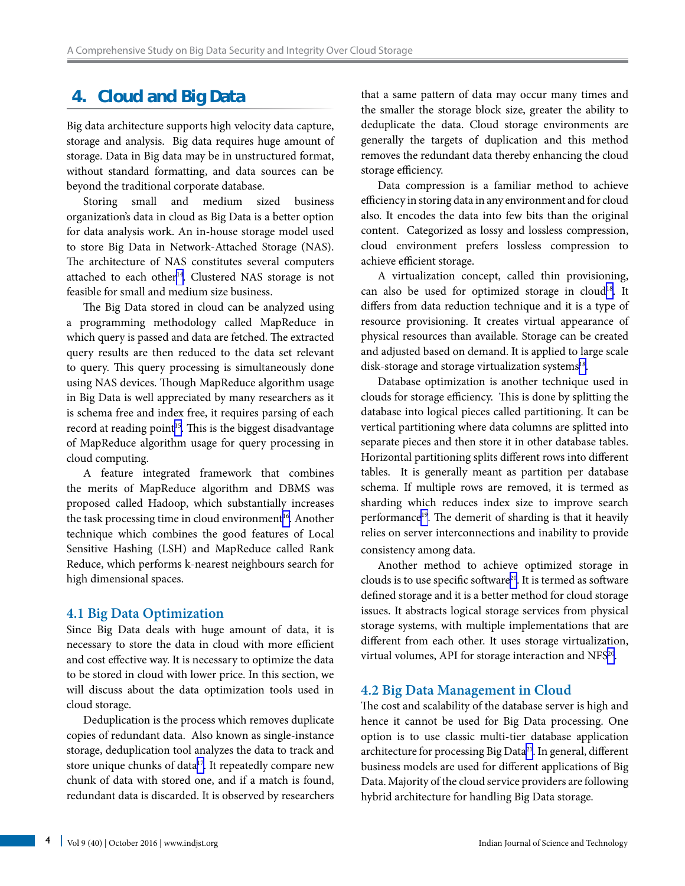# **4. Cloud and Big Data**

Big data architecture supports high velocity data capture, storage and analysis. Big data requires huge amount of storage. Data in Big data may be in unstructured format, without standard formatting, and data sources can be beyond the traditional corporate database.

Storing small and medium sized business organization's data in cloud as Big Data is a better option for data analysis work. An in-house storage model used to store Big Data in Network-Attached Storage (NAS). The architecture of NAS constitutes several computers attached to each other<sup>14</sup>. Clustered NAS storage is not feasible for small and medium size business.

The Big Data stored in cloud can be analyzed using a programming methodology called MapReduce in which query is passed and data are fetched. The extracted query results are then reduced to the data set relevant to query. This query processing is simultaneously done using NAS devices. Though MapReduce algorithm usage in Big Data is well appreciated by many researchers as it is schema free and index free, it requires parsing of each record at reading point<sup>15</sup>. This is the biggest disadvantage of MapReduce algorithm usage for query processing in cloud computing.

A feature integrated framework that combines the merits of MapReduce algorithm and DBMS was proposed called Hadoop, which substantially increases the task processing time in cloud environment<sup>16</sup>. Another technique which combines the good features of Local Sensitive Hashing (LSH) and MapReduce called Rank Reduce, which performs k-nearest neighbours search for high dimensional spaces.

#### **4.1 Big Data Optimization**

Since Big Data deals with huge amount of data, it is necessary to store the data in cloud with more efficient and cost effective way. It is necessary to optimize the data to be stored in cloud with lower price. In this section, we will discuss about the data optimization tools used in cloud storage.

Deduplication is the process which removes duplicate copies of redundant data. Also known as single-instance storage, deduplication tool analyzes the data to track and store unique chunks of data<sup>17</sup>. It repeatedly compare new chunk of data with stored one, and if a match is found, redundant data is discarded. It is observed by researchers that a same pattern of data may occur many times and the smaller the storage block size, greater the ability to deduplicate the data. Cloud storage environments are generally the targets of duplication and this method removes the redundant data thereby enhancing the cloud storage efficiency.

Data compression is a familiar method to achieve efficiency in storing data in any environment and for cloud also. It encodes the data into few bits than the original content. Categorized as lossy and lossless compression, cloud environment prefers lossless compression to achieve efficient storage.

A virtualization concept, called thin provisioning, can also be used for optimized storage in cloud<sup>18</sup>. It differs from data reduction technique and it is a type of resource provisioning. It creates virtual appearance of physical resources than available. Storage can be created and adjusted based on demand. It is applied to large scale disk-storage and storage virtualization systems $18$ .

Database optimization is another technique used in clouds for storage efficiency. This is done by splitting the database into logical pieces called partitioning. It can be vertical partitioning where data columns are splitted into separate pieces and then store it in other database tables. Horizontal partitioning splits different rows into different tables. It is generally meant as partition per database schema. If multiple rows are removed, it is termed as sharding which reduces index size to improve search performance<sup>19</sup>. The demerit of sharding is that it heavily relies on server interconnections and inability to provide consistency among data.

Another method to achieve optimized storage in clouds is to use specific software<sup>20</sup>. It is termed as software defined storage and it is a better method for cloud storage issues. It abstracts logical storage services from physical storage systems, with multiple implementations that are different from each other. It uses storage virtualization, virtual volumes, API for storage interaction and NFS<sup>20</sup>.

#### **4.2 Big Data Management in Cloud**

The cost and scalability of the database server is high and hence it cannot be used for Big Data processing. One option is to use classic multi-tier database application architecture for processing Big Data<sup>[21](#page-5-0)</sup>. In general, different business models are used for different applications of Big Data. Majority of the cloud service providers are following hybrid architecture for handling Big Data storage.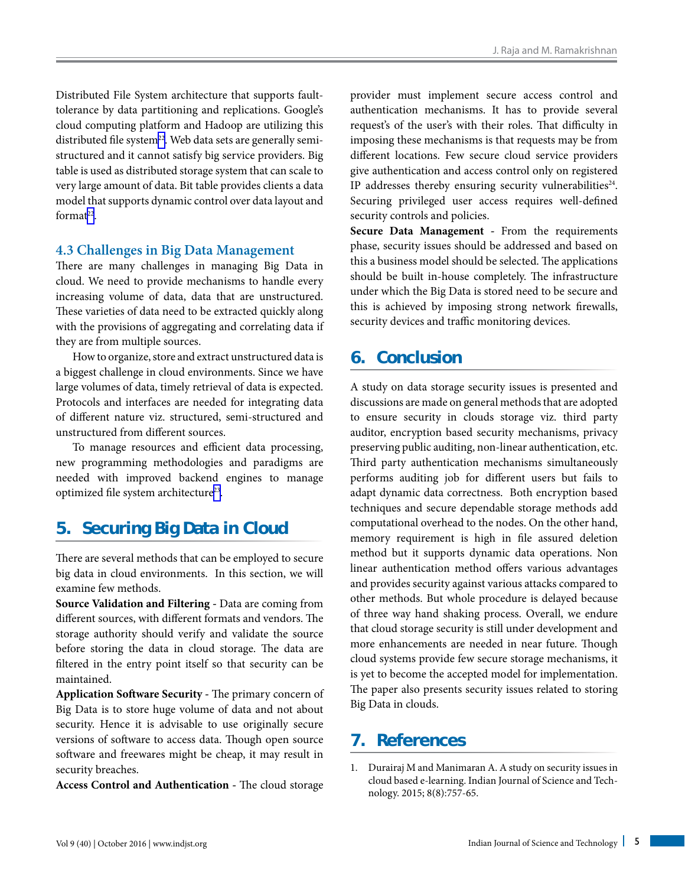<span id="page-4-0"></span>Distributed File System architecture that supports faulttolerance by data partitioning and replications. Google's cloud computing platform and Hadoop are utilizing this distributed file system<sup>22</sup>. Web data sets are generally semistructured and it cannot satisfy big service providers. Big table is used as distributed storage system that can scale to very large amount of data. Bit table provides clients a data model that supports dynamic control over data layout and format<sup>22</sup>.

#### **4.3 Challenges in Big Data Management**

There are many challenges in managing Big Data in cloud. We need to provide mechanisms to handle every increasing volume of data, data that are unstructured. These varieties of data need to be extracted quickly along with the provisions of aggregating and correlating data if they are from multiple sources.

How to organize, store and extract unstructured data is a biggest challenge in cloud environments. Since we have large volumes of data, timely retrieval of data is expected. Protocols and interfaces are needed for integrating data of different nature viz. structured, semi-structured and unstructured from different sources.

To manage resources and efficient data processing, new programming methodologies and paradigms are needed with improved backend engines to manage optimized file system architecture<sup>23</sup>.

## **5. Securing Big Data in Cloud**

There are several methods that can be employed to secure big data in cloud environments. In this section, we will examine few methods.

**Source Validation and Filtering -** Data are coming from different sources, with different formats and vendors. The storage authority should verify and validate the source before storing the data in cloud storage. The data are filtered in the entry point itself so that security can be maintained.

**Application Software Security -** The primary concern of Big Data is to store huge volume of data and not about security. Hence it is advisable to use originally secure versions of software to access data. Though open source software and freewares might be cheap, it may result in security breaches.

**Access Control and Authentication -** The cloud storage

provider must implement secure access control and authentication mechanisms. It has to provide several request's of the user's with their roles. That difficulty in imposing these mechanisms is that requests may be from different locations. Few secure cloud service providers give authentication and access control only on registered IP addresses thereby ensuring security vulnerabilities<sup>24</sup>. Securing privileged user access requires well-defined security controls and policies.

**Secure Data Management -** From the requirements phase, security issues should be addressed and based on this a business model should be selected. The applications should be built in-house completely. The infrastructure under which the Big Data is stored need to be secure and this is achieved by imposing strong network firewalls, security devices and traffic monitoring devices.

## **6. Conclusion**

A study on data storage security issues is presented and discussions are made on general methods that are adopted to ensure security in clouds storage viz. third party auditor, encryption based security mechanisms, privacy preserving public auditing, non-linear authentication, etc. Third party authentication mechanisms simultaneously performs auditing job for different users but fails to adapt dynamic data correctness. Both encryption based techniques and secure dependable storage methods add computational overhead to the nodes. On the other hand, memory requirement is high in file assured deletion method but it supports dynamic data operations. Non linear authentication method offers various advantages and provides security against various attacks compared to other methods. But whole procedure is delayed because of three way hand shaking process. Overall, we endure that cloud storage security is still under development and more enhancements are needed in near future. Though cloud systems provide few secure storage mechanisms, it is yet to become the accepted model for implementation. The paper also presents security issues related to storing Big Data in clouds.

## **7. References**

1. Durairaj M and Manimaran A. A study on security issues in cloud based e-learning. Indian Journal of Science and Technology. 2015; 8(8):757-65.